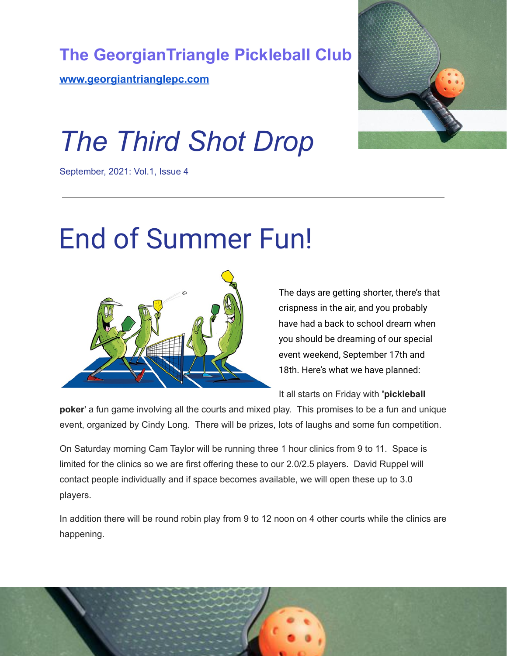



# *The Third Shot Drop*

September, 2021: Vol.1, Issue 4

## End of Summer Fun!



The days are getting shorter, there's that crispness in the air, and you probably have had a back to school dream when you should be dreaming of our special event weekend, September 17th and 18th. Here's what we have planned:

It all starts on Friday with **'pickleball**

**poker**' a fun game involving all the courts and mixed play. This promises to be a fun and unique event, organized by Cindy Long. There will be prizes, lots of laughs and some fun competition.

On Saturday morning Cam Taylor will be running three 1 hour clinics from 9 to 11. Space is limited for the clinics so we are first offering these to our 2.0/2.5 players. David Ruppel will contact people individually and if space becomes available, we will open these up to 3.0 players.

In addition there will be round robin play from 9 to 12 noon on 4 other courts while the clinics are happening.

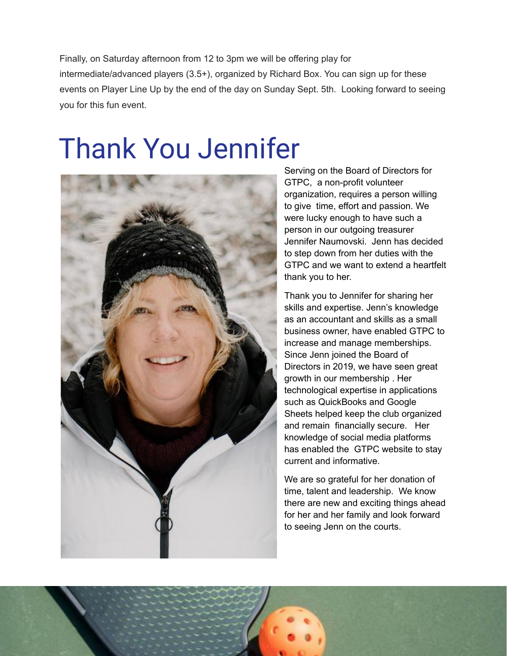Finally, on Saturday afternoon from 12 to 3pm we will be offering play for intermediate/advanced players (3.5+), organized by Richard Box. You can sign up for these events on Player Line Up by the end of the day on Sunday Sept. 5th. Looking forward to seeing you for this fun event.

### Thank You Jennifer



Serving on the Board of Directors for GTPC, a non-profit volunteer organization, requires a person willing to give time, effort and passion. We were lucky enough to have such a person in our outgoing treasurer Jennifer Naumovski. Jenn has decided to step down from her duties with the GTPC and we want to extend a heartfelt thank you to her.

Thank you to Jennifer for sharing her skills and expertise. Jenn's knowledge as an accountant and skills as a small business owner, have enabled GTPC to increase and manage memberships. Since Jenn joined the Board of Directors in 2019, we have seen great growth in our membership . Her technological expertise in applications such as QuickBooks and Google Sheets helped keep the club organized and remain financially secure. Her knowledge of social media platforms has enabled the GTPC website to stay current and informative.

We are so grateful for her donation of time, talent and leadership. We know there are new and exciting things ahead for her and her family and look forward to seeing Jenn on the courts.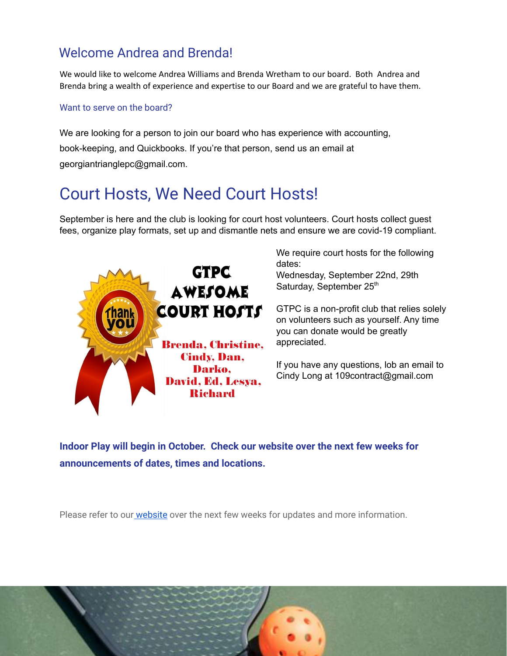#### Welcome Andrea and Brenda!

We would like to welcome Andrea Williams and Brenda Wretham to our board. Both Andrea and Brenda bring a wealth of experience and expertise to our Board and we are grateful to have them.

#### Want to serve on the board?

We are looking for a person to join our board who has experience with accounting, book-keeping, and Quickbooks. If you're that person, send us an email at georgiantrianglepc@gmail.com.

### Court Hosts, We Need Court Hosts!

September is here and the club is looking for court host volunteers. Court hosts collect guest fees, organize play formats, set up and dismantle nets and ensure we are covid-19 compliant.



We require court hosts for the following dates:

Wednesday, September 22nd, 29th Saturday, September 25<sup>th</sup>

GTPC is a non-profit club that relies solely on volunteers such as yourself. Any time you can donate would be greatly appreciated.

If you have any questions, lob an email to Cindy Long at 109contract@gmail.com

**Indoor Play will begin in October. Check our website over the next few weeks for announcements of dates, times and locations.**

Please refer to our **[website](http://www.georgiantrianglepc.com)** over the next few weeks for updates and more information.